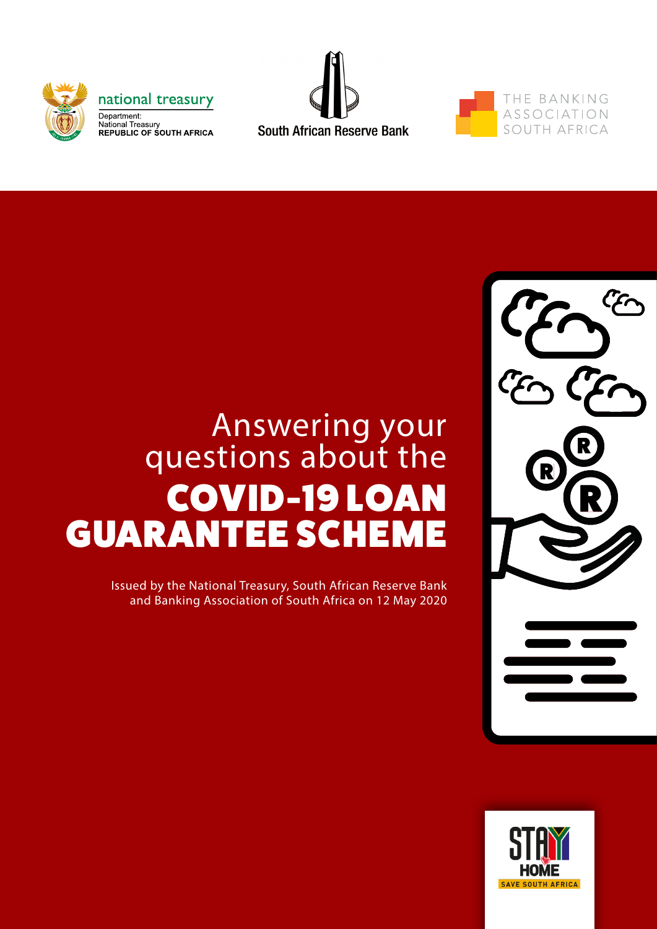





# Answering your questions about the COVID-19 LOAN GUARANTEE SCHEME

Issued by the National Treasury, South African Reserve Bank and Banking Association of South Africa on 12 May 2020



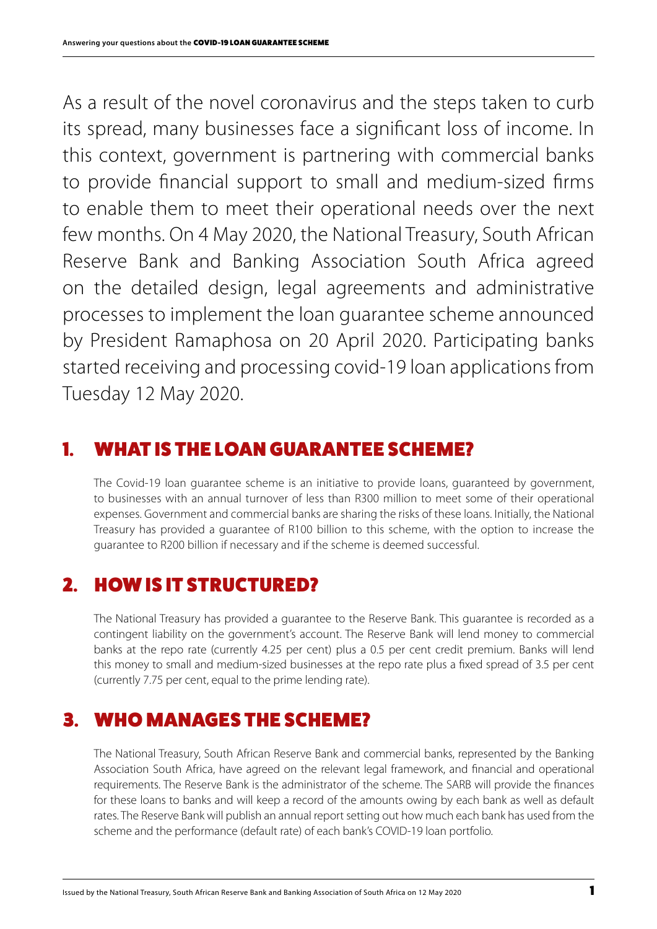As a result of the novel coronavirus and the steps taken to curb its spread, many businesses face a significant loss of income. In this context, government is partnering with commercial banks to provide financial support to small and medium-sized firms to enable them to meet their operational needs over the next few months. On 4 May 2020, the National Treasury, South African Reserve Bank and Banking Association South Africa agreed on the detailed design, legal agreements and administrative processes to implement the loan guarantee scheme announced by President Ramaphosa on 20 April 2020. Participating banks started receiving and processing covid-19 loan applications from Tuesday 12 May 2020.

#### 1. WHAT IS THE LOAN GUARANTEE SCHEME?

The Covid-19 loan guarantee scheme is an initiative to provide loans, guaranteed by government, to businesses with an annual turnover of less than R300 million to meet some of their operational expenses. Government and commercial banks are sharing the risks of these loans. Initially, the National Treasury has provided a guarantee of R100 billion to this scheme, with the option to increase the guarantee to R200 billion if necessary and if the scheme is deemed successful.

# 2. HOW IS IT STRUCTURED?

The National Treasury has provided a guarantee to the Reserve Bank. This guarantee is recorded as a contingent liability on the government's account. The Reserve Bank will lend money to commercial banks at the repo rate (currently 4.25 per cent) plus a 0.5 per cent credit premium. Banks will lend this money to small and medium-sized businesses at the repo rate plus a fixed spread of 3.5 per cent (currently 7.75 per cent, equal to the prime lending rate).

## 3. WHO MANAGES THE SCHEME?

The National Treasury, South African Reserve Bank and commercial banks, represented by the Banking Association South Africa, have agreed on the relevant legal framework, and financial and operational requirements. The Reserve Bank is the administrator of the scheme. The SARB will provide the finances for these loans to banks and will keep a record of the amounts owing by each bank as well as default rates. The Reserve Bank will publish an annual report setting out how much each bank has used from the scheme and the performance (default rate) of each bank's COVID-19 loan portfolio.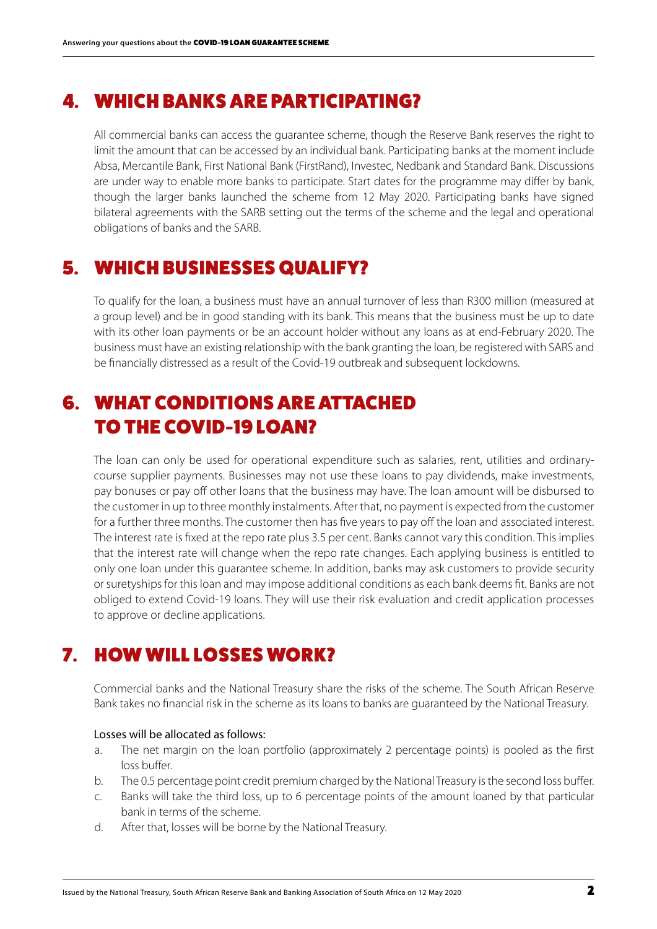#### 4. WHICH BANKS ARE PARTICIPATING?

All commercial banks can access the guarantee scheme, though the Reserve Bank reserves the right to limit the amount that can be accessed by an individual bank. Participating banks at the moment include Absa, Mercantile Bank, First National Bank (FirstRand), Investec, Nedbank and Standard Bank. Discussions are under way to enable more banks to participate. Start dates for the programme may differ by bank, though the larger banks launched the scheme from 12 May 2020. Participating banks have signed bilateral agreements with the SARB setting out the terms of the scheme and the legal and operational obligations of banks and the SARB.

## 5. WHICH BUSINESSES QUALIFY?

To qualify for the loan, a business must have an annual turnover of less than R300 million (measured at a group level) and be in good standing with its bank. This means that the business must be up to date with its other loan payments or be an account holder without any loans as at end-February 2020. The business must have an existing relationship with the bank granting the loan, be registered with SARS and be financially distressed as a result of the Covid-19 outbreak and subsequent lockdowns.

# 6. WHAT CONDITIONS ARE ATTACHED TO THE COVID-19 LOAN?

The loan can only be used for operational expenditure such as salaries, rent, utilities and ordinarycourse supplier payments. Businesses may not use these loans to pay dividends, make investments, pay bonuses or pay off other loans that the business may have. The loan amount will be disbursed to the customer in up to three monthly instalments. After that, no payment is expected from the customer for a further three months. The customer then has five years to pay off the loan and associated interest. The interest rate is fixed at the repo rate plus 3.5 per cent. Banks cannot vary this condition. This implies that the interest rate will change when the repo rate changes. Each applying business is entitled to only one loan under this guarantee scheme. In addition, banks may ask customers to provide security or suretyships for this loan and may impose additional conditions as each bank deems fit. Banks are not obliged to extend Covid-19 loans. They will use their risk evaluation and credit application processes to approve or decline applications.

# 7. HOW WILL LOSSES WORK?

Commercial banks and the National Treasury share the risks of the scheme. The South African Reserve Bank takes no financial risk in the scheme as its loans to banks are guaranteed by the National Treasury.

#### Losses will be allocated as follows:

- a. The net margin on the loan portfolio (approximately 2 percentage points) is pooled as the first loss buffer.
- b. The 0.5 percentage point credit premium charged by the National Treasury is the second loss buffer.
- c. Banks will take the third loss, up to 6 percentage points of the amount loaned by that particular bank in terms of the scheme.
- d. After that, losses will be borne by the National Treasury.